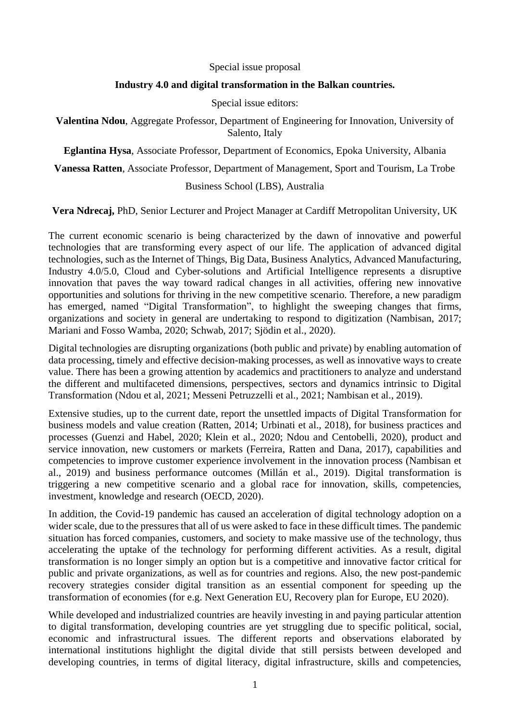### Special issue proposal

# **Industry 4.0 and digital transformation in the Balkan countries.**

## Special issue editors:

**Valentina Ndou**, Aggregate Professor, Department of Engineering for Innovation, University of Salento, Italy

**Eglantina Hysa**, Associate Professor, Department of Economics, Epoka University, Albania

**Vanessa Ratten**, Associate Professor, Department of Management, Sport and Tourism, La Trobe

## Business School (LBS), Australia

**Vera Ndrecaj,** PhD, Senior Lecturer and Project Manager at Cardiff Metropolitan University, UK

The current economic scenario is being characterized by the dawn of innovative and powerful technologies that are transforming every aspect of our life. The application of advanced digital technologies, such as the Internet of Things, Big Data, Business Analytics, Advanced Manufacturing, Industry 4.0/5.0, Cloud and Cyber-solutions and Artificial Intelligence represents a disruptive innovation that paves the way toward radical changes in all activities, offering new innovative opportunities and solutions for thriving in the new competitive scenario. Therefore, a new paradigm has emerged, named "Digital Transformation", to highlight the sweeping changes that firms, organizations and society in general are undertaking to respond to digitization (Nambisan, 2017; Mariani and Fosso Wamba, 2020; Schwab, 2017; Sjödin et al., 2020).

Digital technologies are disrupting organizations (both public and private) by enabling automation of data processing, timely and effective decision-making processes, as well as innovative ways to create value. There has been a growing attention by academics and practitioners to analyze and understand the different and multifaceted dimensions, perspectives, sectors and dynamics intrinsic to Digital Transformation (Ndou et al, 2021; Messeni Petruzzelli et al., 2021; Nambisan et al., 2019).

Extensive studies, up to the current date, report the unsettled impacts of Digital Transformation for business models and value creation (Ratten, 2014; Urbinati et al., 2018), for business practices and processes (Guenzi and Habel, 2020; Klein et al., 2020; Ndou and Centobelli, 2020), product and service innovation, new customers or markets (Ferreira, Ratten and Dana, 2017), capabilities and competencies to improve customer experience involvement in the innovation process (Nambisan et al., 2019) and business performance outcomes (Millán et al., 2019). Digital transformation is triggering a new competitive scenario and a global race for innovation, skills, competencies, investment, knowledge and research (OECD, 2020).

In addition, the Covid-19 pandemic has caused an acceleration of digital technology adoption on a wider scale, due to the pressures that all of us were asked to face in these difficult times. The pandemic situation has forced companies, customers, and society to make massive use of the technology, thus accelerating the uptake of the technology for performing different activities. As a result, digital transformation is no longer simply an option but is a competitive and innovative factor critical for public and private organizations, as well as for countries and regions. Also, the new post-pandemic recovery strategies consider digital transition as an essential component for speeding up the transformation of economies (for e.g. Next Generation EU, Recovery plan for Europe, EU 2020).

While developed and industrialized countries are heavily investing in and paying particular attention to digital transformation, developing countries are yet struggling due to specific political, social, economic and infrastructural issues. The different reports and observations elaborated by international institutions highlight the digital divide that still persists between developed and developing countries, in terms of digital literacy, digital infrastructure, skills and competencies,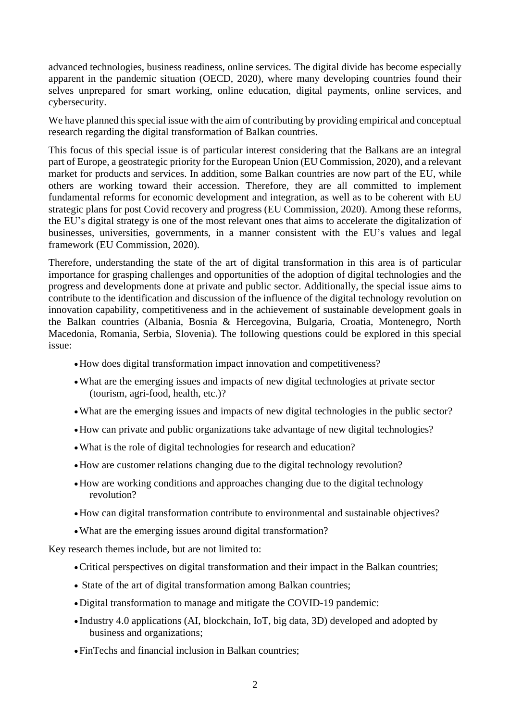advanced technologies, business readiness, online services. The digital divide has become especially apparent in the pandemic situation (OECD, 2020), where many developing countries found their selves unprepared for smart working, online education, digital payments, online services, and cybersecurity.

We have planned this special issue with the aim of contributing by providing empirical and conceptual research regarding the digital transformation of Balkan countries.

This focus of this special issue is of particular interest considering that the Balkans are an integral part of Europe, a geostrategic priority for the European Union (EU Commission, 2020), and a relevant market for products and services. In addition, some Balkan countries are now part of the EU, while others are working toward their accession. Therefore, they are all committed to implement fundamental reforms for economic development and integration, as well as to be coherent with EU strategic plans for post Covid recovery and progress (EU Commission, 2020). Among these reforms, the EU's digital strategy is one of the most relevant ones that aims to accelerate the digitalization of businesses, universities, governments, in a manner consistent with the EU's values and legal framework (EU Commission, 2020).

Therefore, understanding the state of the art of digital transformation in this area is of particular importance for grasping challenges and opportunities of the adoption of digital technologies and the progress and developments done at private and public sector. Additionally, the special issue aims to contribute to the identification and discussion of the influence of the digital technology revolution on innovation capability, competitiveness and in the achievement of sustainable development goals in the Balkan countries (Albania, Bosnia & Hercegovina, Bulgaria, Croatia, Montenegro, North Macedonia, Romania, Serbia, Slovenia). The following questions could be explored in this special issue:

- •How does digital transformation impact innovation and competitiveness?
- •What are the emerging issues and impacts of new digital technologies at private sector (tourism, agri-food, health, etc.)?
- •What are the emerging issues and impacts of new digital technologies in the public sector?
- •How can private and public organizations take advantage of new digital technologies?
- •What is the role of digital technologies for research and education?
- •How are customer relations changing due to the digital technology revolution?
- •How are working conditions and approaches changing due to the digital technology revolution?
- •How can digital transformation contribute to environmental and sustainable objectives?
- •What are the emerging issues around digital transformation?

Key research themes include, but are not limited to:

- •Critical perspectives on digital transformation and their impact in the Balkan countries;
- State of the art of digital transformation among Balkan countries;
- •Digital transformation to manage and mitigate the COVID-19 pandemic:
- Industry 4.0 applications (AI, blockchain, IoT, big data, 3D) developed and adopted by business and organizations;
- •FinTechs and financial inclusion in Balkan countries;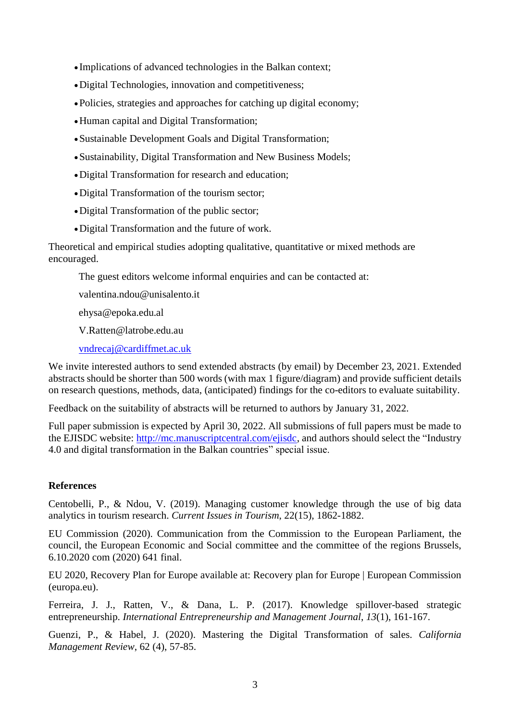- Implications of advanced technologies in the Balkan context;
- •Digital Technologies, innovation and competitiveness;
- •Policies, strategies and approaches for catching up digital economy;
- •Human capital and Digital Transformation;
- •Sustainable Development Goals and Digital Transformation;
- •Sustainability, Digital Transformation and New Business Models;
- •Digital Transformation for research and education;
- •Digital Transformation of the tourism sector;
- •Digital Transformation of the public sector;
- •Digital Transformation and the future of work.

Theoretical and empirical studies adopting qualitative, quantitative or mixed methods are encouraged.

The guest editors welcome informal enquiries and can be contacted at:

valentina.ndou@unisalento.it

ehysa@epoka.edu.al

V.Ratten@latrobe.edu.au

vndrecaj@cardiffmet.ac.uk

We invite interested authors to send extended abstracts (by email) by December 23, 2021. Extended abstracts should be shorter than 500 words (with max 1 figure/diagram) and provide sufficient details on research questions, methods, data, (anticipated) findings for the co-editors to evaluate suitability.

Feedback on the suitability of abstracts will be returned to authors by January 31, 2022.

Full paper submission is expected by April 30, 2022. All submissions of full papers must be made to the EJISDC website: http://mc.manuscriptcentral.com/ejisdc, and authors should select the "Industry 4.0 and digital transformation in the Balkan countries" special issue.

## **References**

Centobelli, P., & Ndou, V. (2019). Managing customer knowledge through the use of big data analytics in tourism research. *Current Issues in Tourism*, 22(15), 1862-1882.

EU Commission (2020). Communication from the Commission to the European Parliament, the council, the European Economic and Social committee and the committee of the regions Brussels, 6.10.2020 com (2020) 641 final.

EU 2020, Recovery Plan for Europe available at: Recovery plan for Europe | European Commission (europa.eu).

Ferreira, J. J., Ratten, V., & Dana, L. P. (2017). Knowledge spillover-based strategic entrepreneurship. *International Entrepreneurship and Management Journal*, *13*(1), 161-167.

Guenzi, P., & Habel, J. (2020). Mastering the Digital Transformation of sales. *California Management Review*, 62 (4), 57-85.